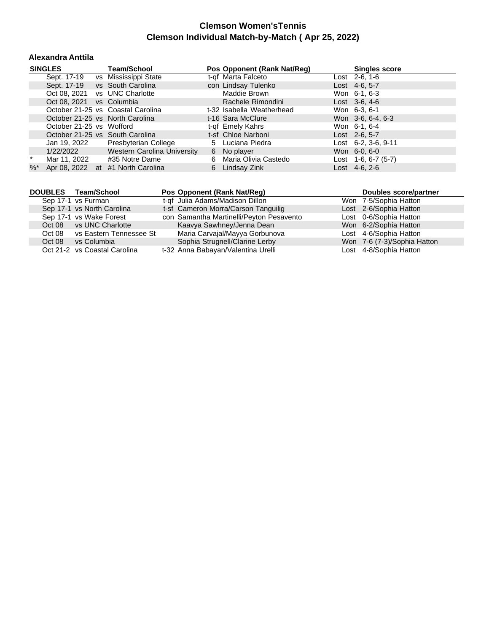#### **Alexandra Anttila**

|        | <b>SINGLES</b>           | Team/School                       |    | Pos Opponent (Rank Nat/Reg) | <b>Singles score</b>        |
|--------|--------------------------|-----------------------------------|----|-----------------------------|-----------------------------|
|        | Sept. 17-19              | vs Mississippi State              |    | t-of Marta Falceto          | Lost $2-6, 1-6$             |
|        |                          | Sept. 17-19 vs South Carolina     |    | con Lindsay Tulenko         | Lost $4-6, 5-7$             |
|        |                          | Oct 08, 2021 vs UNC Charlotte     |    | Maddie Brown                | Won 6-1, 6-3                |
|        | Oct 08, 2021 vs Columbia |                                   |    | Rachele Rimondini           | Lost $3-6, 4-6$             |
|        |                          | October 21-25 vs Coastal Carolina |    | t-32 Isabella Weatherhead   | Won 6-3, 6-1                |
|        |                          | October 21-25 vs North Carolina   |    | t-16 Sara McClure           | Won 3-6, 6-4, 6-3           |
|        | October 21-25 vs Wofford |                                   |    | t-of Emely Kahrs            | Won 6-1, 6-4                |
|        |                          | October 21-25 vs South Carolina   |    | t-sf Chloe Narboni          | $Last \, 2-6, 5-7$          |
|        | Jan 19, 2022             | Presbyterian College              |    | 5 Luciana Piedra            | Lost $6-2$ , $3-6$ , $9-11$ |
|        | 1/22/2022                | Western Carolina University       |    | 6 No player                 | Won 6-0, 6-0                |
| $\ast$ | Mar 11, 2022             | #35 Notre Dame                    |    | 6 Maria Olivia Castedo      | Lost $1-6, 6-7$ (5-7)       |
| $\%$ * |                          | Apr 08, 2022 at #1 North Carolina | 6. | Lindsay Zink                | Lost $4-6, 2-6$             |

|        | DOUBLES Team/School          | Pos Opponent (Rank Nat/Req)              | Doubles score/partner       |
|--------|------------------------------|------------------------------------------|-----------------------------|
|        | Sep 17-1 vs Furman           | t-qf Julia Adams/Madison Dillon          | Won 7-5/Sophia Hatton       |
|        | Sep 17-1 vs North Carolina   | t-sf Cameron Morra/Carson Tanguilig      | Lost 2-6/Sophia Hatton      |
|        | Sep 17-1 vs Wake Forest      | con Samantha Martinelli/Peyton Pesavento | Lost 0-6/Sophia Hatton      |
|        | Oct 08 vs UNC Charlotte      | Kaavya Sawhney/Jenna Dean                | Won 6-2/Sophia Hatton       |
| Oct 08 | vs Eastern Tennessee St      | Maria Carvajal/Mayya Gorbunova           | Lost 4-6/Sophia Hatton      |
| Oct 08 | vs Columbia                  | Sophia Strugnell/Clarine Lerby           | Won 7-6 (7-3)/Sophia Hatton |
|        | Oct 21-2 vs Coastal Carolina | t-32 Anna Babayan/Valentina Urelli       | Lost 4-8/Sophia Hatton      |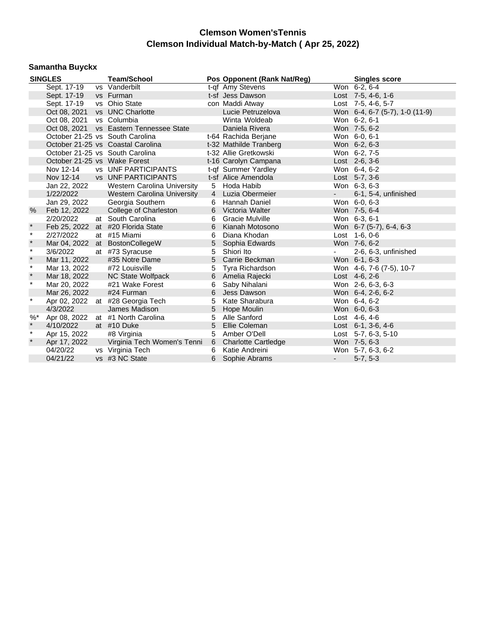# **Samantha Buyckx**

|          | <b>SINGLES</b>               |  | <b>Team/School</b>                      |                 | Pos Opponent (Rank Nat/Reg) |                     | <b>Singles score</b>           |
|----------|------------------------------|--|-----------------------------------------|-----------------|-----------------------------|---------------------|--------------------------------|
|          | Sept. 17-19                  |  | vs Vanderbilt                           |                 | t-qf Amy Stevens            |                     | Won 6-2, 6-4                   |
|          | Sept. 17-19                  |  | vs Furman                               |                 | t-sf Jess Dawson            |                     | Lost 7-5, 4-6, 1-6             |
|          | Sept. 17-19                  |  | vs Ohio State                           |                 | con Maddi Atway             |                     | Lost 7-5, 4-6, 5-7             |
|          | Oct 08, 2021                 |  | vs UNC Charlotte                        |                 | Lucie Petruzelova           |                     | Won 6-4, 6-7 (5-7), 1-0 (11-9) |
|          | Oct 08, 2021                 |  | vs Columbia                             |                 | Winta Woldeab               |                     | Won 6-2, 6-1                   |
|          |                              |  | Oct 08, 2021 vs Eastern Tennessee State |                 | Daniela Rivera              |                     | Won 7-5, 6-2                   |
|          |                              |  | October 21-25 vs South Carolina         |                 | t-64 Rachida Berjane        |                     | Won 6-0, 6-1                   |
|          |                              |  | October 21-25 vs Coastal Carolina       |                 | t-32 Mathilde Tranberg      |                     | Won 6-2, 6-3                   |
|          |                              |  | October 21-25 vs South Carolina         |                 | t-32 Allie Gretkowski       |                     | Won 6-2, 7-5                   |
|          | October 21-25 vs Wake Forest |  |                                         |                 | t-16 Carolyn Campana        |                     | Lost $2-6, 3-6$                |
|          | Nov 12-14                    |  | <b>vs</b> UNF PARTICIPANTS              |                 | t-qf Summer Yardley         |                     | Won 6-4, 6-2                   |
|          | Nov 12-14                    |  | <b>vs</b> UNF PARTICIPANTS              |                 | t-sf Alice Amendola         |                     | Lost 5-7, 3-6                  |
|          | Jan 22, 2022                 |  | Western Carolina University             |                 | 5 Hoda Habib                |                     | Won 6-3, 6-3                   |
|          | 1/22/2022                    |  | <b>Western Carolina University</b>      |                 | 4 Luzia Obermeier           | $\omega_{\rm{max}}$ | 6-1, 5-4, unfinished           |
|          | Jan 29, 2022                 |  | Georgia Southern                        |                 | 6 Hannah Daniel             |                     | Won 6-0, 6-3                   |
| $\%$     | Feb 12, 2022                 |  | College of Charleston                   |                 | 6 Victoria Walter           |                     | Won 7-5, 6-4                   |
|          | 2/20/2022                    |  | at South Carolina                       | 6               | Gracie Mulville             |                     | Won 6-3, 6-1                   |
| $\star$  | Feb 25, 2022                 |  | at #20 Florida State                    | 6               | Kianah Motosono             |                     | Won 6-7 (5-7), 6-4, 6-3        |
| $\star$  | 2/27/2022                    |  | at #15 Miami                            | 6               | Diana Khodan                |                     | Lost 1-6, 0-6                  |
| $\star$  |                              |  | Mar 04, 2022 at BostonCollegeW          | $5\phantom{.0}$ | Sophia Edwards              |                     | Won 7-6, 6-2                   |
| $\star$  | 3/6/2022                     |  | at #73 Syracuse                         | $5^{\circ}$     | Shiori Ito                  |                     | 2-6, 6-3, unfinished           |
| $\star$  | Mar 11, 2022                 |  | #35 Notre Dame                          |                 | 5 Carrie Beckman            |                     | Won 6-1, 6-3                   |
| $\star$  | Mar 13, 2022                 |  | #72 Louisville                          | 5               | Tyra Richardson             |                     | Won 4-6, 7-6 (7-5), 10-7       |
| $\star$  | Mar 18, 2022                 |  | NC State Wolfpack                       | 6               | Amelia Rajecki              |                     | Lost 4-6, 2-6                  |
| $\star$  | Mar 20, 2022                 |  | #21 Wake Forest                         | 6               | Saby Nihalani               |                     | Won 2-6, 6-3, 6-3              |
|          | Mar 26, 2022                 |  | #24 Furman                              | 6               | Jess Dawson                 |                     | Won 6-4, 2-6, 6-2              |
| $^\star$ |                              |  | Apr 02, 2022 at #28 Georgia Tech        | 5               | Kate Sharabura              |                     | Won 6-4, 6-2                   |
|          | 4/3/2022                     |  | James Madison                           | $5\phantom{.0}$ | Hope Moulin                 |                     | Won 6-0, 6-3                   |
| $%$ *    |                              |  | Apr 08, 2022 at #1 North Carolina       |                 | 5 Alle Sanford              |                     | Lost 4-6, 4-6                  |
| $\star$  | 4/10/2022                    |  | at #10 Duke                             | 5               | Ellie Coleman               |                     | Lost 6-1, 3-6, 4-6             |
| $\star$  | Apr 15, 2022                 |  | #8 Virginia                             | 5               | Amber O'Dell                |                     | Lost 5-7, 6-3, 5-10            |
| $\star$  | Apr 17, 2022                 |  | Virginia Tech Women's Tenni             |                 | 6 Charlotte Cartledge       |                     | Won 7-5, 6-3                   |
|          | 04/20/22                     |  | vs Virginia Tech                        | 6               | Katie Andreini              |                     | Won 5-7, 6-3, 6-2              |
|          | 04/21/22                     |  | vs #3 NC State                          | 6               | Sophie Abrams               | $\sim 10$           | $5-7, 5-3$                     |
|          |                              |  |                                         |                 |                             |                     |                                |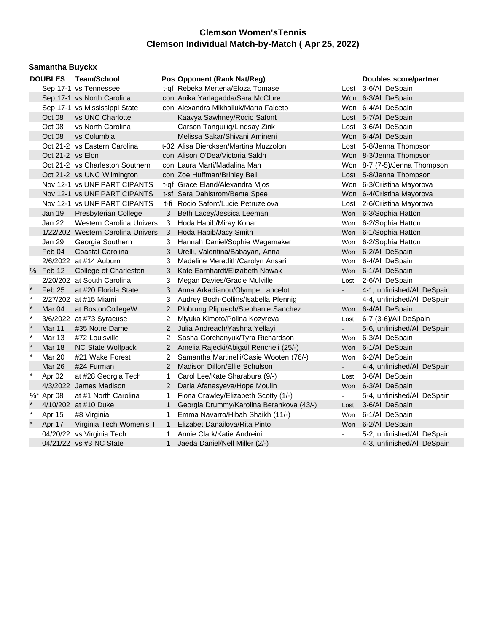# **Samantha Buyckx**

|              | <b>DOUBLES</b>    | <b>Team/School</b>                |                | Pos Opponent (Rank Nat/Reg)              |                          | Doubles score/partner        |
|--------------|-------------------|-----------------------------------|----------------|------------------------------------------|--------------------------|------------------------------|
|              |                   | Sep 17-1 vs Tennessee             |                | t-qf Rebeka Mertena/Eloza Tomase         |                          | Lost 3-6/Ali DeSpain         |
|              |                   | Sep 17-1 vs North Carolina        |                | con Anika Yarlagadda/Sara McClure        |                          | Won 6-3/Ali DeSpain          |
|              |                   | Sep 17-1 vs Mississippi State     |                | con Alexandra Mikhailuk/Marta Falceto    |                          | Won 6-4/Ali DeSpain          |
|              | Oct 08            | vs UNC Charlotte                  |                | Kaavya Sawhney/Rocio Safont              |                          | Lost 5-7/Ali DeSpain         |
|              | Oct 08            | vs North Carolina                 |                | Carson Tanguilig/Lindsay Zink            |                          | Lost 3-6/Ali DeSpain         |
|              | Oct 08            | vs Columbia                       |                | Melissa Sakar/Shivani Amineni            |                          | Won 6-4/Ali DeSpain          |
|              |                   | Oct 21-2 vs Eastern Carolina      |                | t-32 Alisa Diercksen/Martina Muzzolon    |                          | Lost 5-8/Jenna Thompson      |
|              | Oct 21-2 vs Elon  |                                   |                | con Alison O'Dea/Victoria Saldh          |                          | Won 8-3/Jenna Thompson       |
|              |                   | Oct 21-2 vs Charleston Southern   |                | con Laura Marti/Madalina Man             |                          | Won 8-7 (7-5)/Jenna Thompson |
|              |                   | Oct 21-2 vs UNC Wilmington        |                | con Zoe Huffman/Brinley Bell             |                          | Lost 5-8/Jenna Thompson      |
|              |                   | Nov 12-1 vs UNF PARTICIPANTS      |                | t-qf Grace Eland/Alexandra Mjos          |                          | Won 6-3/Cristina Mayorova    |
|              |                   | Nov 12-1 vs UNF PARTICIPANTS      |                | t-sf Sara Dahlstrom/Bente Spee           |                          | Won 6-4/Cristina Mayorova    |
|              |                   | Nov 12-1 vs UNF PARTICIPANTS      |                | t-fi Rocio Safont/Lucie Petruzelova      |                          | Lost 2-6/Cristina Mayorova   |
|              | <b>Jan 19</b>     | Presbyterian College              | 3              | Beth Lacey/Jessica Leeman                | Won                      | 6-3/Sophia Hatton            |
|              | Jan 22            | <b>Western Carolina Univers</b>   | 3              | Hoda Habib/Miray Konar                   | Won                      | 6-2/Sophia Hatton            |
|              |                   | 1/22/202 Western Carolina Univers | 3              | Hoda Habib/Jacy Smith                    | Won                      | 6-1/Sophia Hatton            |
|              | Jan 29            | Georgia Southern                  | 3              | Hannah Daniel/Sophie Wagemaker           | Won                      | 6-2/Sophia Hatton            |
|              | Feb 04            | Coastal Carolina                  | 3              | Urelli, Valentina/Babayan, Anna          | Won                      | 6-2/Ali DeSpain              |
|              |                   | 2/6/2022 at #14 Auburn            | 3              | Madeline Meredith/Carolyn Ansari         | Won                      | 6-4/Ali DeSpain              |
| %            | Feb 12            | College of Charleston             | 3              | Kate Earnhardt/Elizabeth Nowak           | Won                      | 6-1/Ali DeSpain              |
|              |                   | 2/20/202 at South Carolina        | 3              | Megan Davies/Gracie Mulville             | Lost                     | 2-6/Ali DeSpain              |
| $\star$      | Feb 25            | at #20 Florida State              | 3              | Anna Arkadianou/Olympe Lancelot          |                          | 4-1, unfinished/Ali DeSpain  |
| $\star$      |                   | 2/27/202 at #15 Miami             | 3              | Audrey Boch-Collins/Isabella Pfennig     | $\blacksquare$           | 4-4, unfinished/Ali DeSpain  |
| $\star$      | Mar <sub>04</sub> | at BostonCollegeW                 | $\overline{2}$ | Plobrung Plipuech/Stephanie Sanchez      |                          | Won 6-4/Ali DeSpain          |
| $\star$      |                   | 3/6/2022 at #73 Syracuse          | 2              | Miyuka Kimoto/Polina Kozyreva            | Lost                     | 6-7 (3-6)/Ali DeSpain        |
| $\star$      | Mar 11            | #35 Notre Dame                    | $\overline{2}$ | Julia Andreach/Yashna Yellayi            |                          | 5-6, unfinished/Ali DeSpain  |
| $\star$      | Mar 13            | #72 Louisville                    | 2              | Sasha Gorchanyuk/Tyra Richardson         | Won                      | 6-3/Ali DeSpain              |
| $\star$      | <b>Mar 18</b>     | NC State Wolfpack                 | $\overline{2}$ | Amelia Rajecki/Abigail Rencheli (25/-)   |                          | Won 6-1/Ali DeSpain          |
| $\star$      | Mar 20            | #21 Wake Forest                   | 2              | Samantha Martinelli/Casie Wooten (76/-)  | Won                      | 6-2/Ali DeSpain              |
|              | Mar 26            | #24 Furman                        | $\overline{2}$ | Madison Dillon/Ellie Schulson            | $\overline{\phantom{0}}$ | 4-4, unfinished/Ali DeSpain  |
| $\star$      | Apr 02            | at #28 Georgia Tech               | 1              | Carol Lee/Kate Sharabura (9/-)           | Lost                     | 3-6/Ali DeSpain              |
|              |                   | 4/3/2022 James Madison            | $\overline{2}$ | Daria Afanasyeva/Hope Moulin             | Won                      | 6-3/Ali DeSpain              |
|              | %* Apr 08         | at #1 North Carolina              | 1              | Fiona Crawley/Elizabeth Scotty (1/-)     | $\blacksquare$           | 5-4, unfinished/Ali DeSpain  |
| $\star$      |                   | 4/10/202 at #10 Duke              | 1              | Georgia Drummy/Karolina Berankova (43/-) | Lost                     | 3-6/Ali DeSpain              |
| $\star$      | Apr 15            | #8 Virginia                       | 1              | Emma Navarro/Hibah Shaikh (11/-)         | Won                      | 6-1/Ali DeSpain              |
| $\pmb{\ast}$ | Apr 17            | Virginia Tech Women's T           | $\mathbf{1}$   | Elizabet Danailova/Rita Pinto            | Won                      | 6-2/Ali DeSpain              |
|              |                   | 04/20/22 vs Virginia Tech         | 1              | Annie Clark/Katie Andreini               |                          | 5-2, unfinished/Ali DeSpain  |
|              |                   | 04/21/22 vs #3 NC State           | 1              | Jaeda Daniel/Nell Miller (2/-)           |                          | 4-3, unfinished/Ali DeSpain  |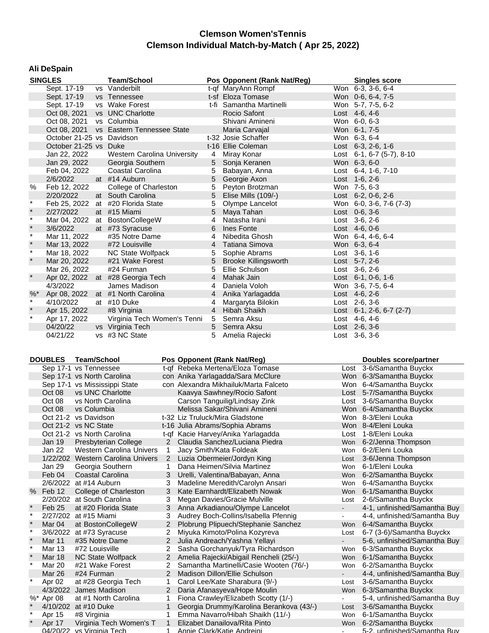#### **Ali DeSpain**

|         | <b>SINGLES</b>            | <b>Team/School</b>                      |                 | Pos Opponent (Rank Nat/Reg) | <b>Singles score</b>          |
|---------|---------------------------|-----------------------------------------|-----------------|-----------------------------|-------------------------------|
|         | Sept. 17-19               | vs Vanderbilt                           |                 | t-qf MaryAnn Rompf          | Won 6-3, 3-6, 6-4             |
|         | Sept. 17-19               | vs Tennessee                            |                 | t-sf Eloza Tomase           | Won 0-6, 6-4, 7-5             |
|         | Sept. 17-19               | vs Wake Forest                          |                 | t-fi Samantha Martinelli    | Won 5-7, 7-5, 6-2             |
|         |                           | Oct 08, 2021 vs UNC Charlotte           |                 | Rocio Safont                | Lost 4-6, 4-6                 |
|         | Oct 08, 2021              | vs Columbia                             |                 | Shivani Amineni             | Won 6-0, 6-3                  |
|         |                           | Oct 08, 2021 vs Eastern Tennessee State |                 | Maria Carvajal              | Won 6-1, 7-5                  |
|         | October 21-25 vs Davidson |                                         |                 | t-32 Josie Schaffer         | Won 6-3, 6-4                  |
|         | October 21-25 vs Duke     |                                         |                 | t-16 Ellie Coleman          | Lost 6-3, 2-6, 1-6            |
|         | Jan 22, 2022              | Western Carolina University             | 4               | Miray Konar                 | Lost 6-1, 6-7 (5-7), 8-10     |
|         | Jan 29, 2022              | Georgia Southern                        |                 | 5 Sonja Keranen             | Won 6-3, 6-0                  |
|         | Feb 04, 2022              | Coastal Carolina                        | 5               | Babayan, Anna               | Lost 6-4, 1-6, 7-10           |
|         | 2/6/2022                  | at #14 Auburn                           | 5               | Georgie Axon                | Lost 1-6, 2-6                 |
| %       | Feb 12, 2022              | College of Charleston                   | 5               | Peyton Brotzman             | Won 7-5, 6-3                  |
|         | 2/20/2022                 | at South Carolina                       | 5               | Elise Mills (109/-)         | Lost 6-2, 0-6, 2-6            |
| $\star$ | Feb 25, 2022              | at #20 Florida State                    | 5               | Olympe Lancelot             | Won 6-0, 3-6, 7-6 (7-3)       |
| $\star$ | 2/27/2022                 | at #15 Miami                            |                 | 5 Maya Tahan                | Lost $0-6, 3-6$               |
| $\star$ | Mar 04, 2022              | at BostonCollegeW                       | $\overline{4}$  | Natasha Irani               | Lost 3-6, 2-6                 |
| $\star$ | 3/6/2022                  | at #73 Syracuse                         | 6               | Ines Fonte                  | Lost $4-6, 0-6$               |
| $\star$ | Mar 11, 2022              | #35 Notre Dame                          |                 | 4 Nibedita Ghosh            | Won 6-4, 4-6, 6-4             |
| $\star$ | Mar 13, 2022              | #72 Louisville                          |                 | 4 Tatiana Simova            | Won 6-3, 6-4                  |
| $\star$ | Mar 18, 2022              | NC State Wolfpack                       | 5               | Sophie Abrams               | Lost $3-6, 1-6$               |
| $\star$ | Mar 20, 2022              | #21 Wake Forest                         |                 | 5 Brooke Killingsworth      | Lost 5-7, 2-6                 |
|         | Mar 26, 2022              | #24 Furman                              | 5               | Ellie Schulson              | Lost $3-6, 2-6$               |
| $\star$ |                           | Apr 02, 2022 at #28 Georgia Tech        | $4\overline{ }$ | Mahak Jain                  | Lost 6-1, 0-6, 1-6            |
|         | 4/3/2022                  | James Madison                           | 4               | Daniela Voloh               | Won 3-6, 7-5, 6-4             |
| $%$ *   | Apr 08, 2022              | at #1 North Carolina                    | $\overline{4}$  | Anika Yarlagadda            | Lost 4-6, 2-6                 |
| $\star$ | 4/10/2022                 | at #10 Duke                             | 4               | Margaryta Bilokin           | Lost $2-6, 3-6$               |
| $\star$ | Apr 15, 2022              | #8 Virginia                             | $\overline{4}$  | Hibah Shaikh                | Lost $6-1$ , 2-6, $6-7$ (2-7) |
| $\star$ | Apr 17, 2022              | Virginia Tech Women's Tenni             | 5               | Semra Aksu                  | Lost 4-6, 4-6                 |
|         | 04/20/22                  | vs Virginia Tech                        |                 | 5 Semra Aksu                | Lost $2-6, 3-6$               |
|         | 04/21/22                  | vs #3 NC State                          |                 | Amelia Rajecki              | Lost 3-6, 3-6                 |

|      | <b>DOUBLES</b>                | <b>Team/School</b>                |   | Pos Opponent (Rank Nat/Reg)              | Doubles score/partner    |                              |
|------|-------------------------------|-----------------------------------|---|------------------------------------------|--------------------------|------------------------------|
|      |                               | Sep 17-1 vs Tennessee             |   | t-qf Rebeka Mertena/Eloza Tomase         |                          | Lost 3-6/Samantha Buyckx     |
|      |                               | Sep 17-1 vs North Carolina        |   | con Anika Yarlagadda/Sara McClure        |                          | Won 6-3/Samantha Buyckx      |
|      | Sep 17-1 vs Mississippi State |                                   |   | con Alexandra Mikhailuk/Marta Falceto    | Won                      | 6-4/Samantha Buyckx          |
|      | Oct 08                        | vs UNC Charlotte                  |   | Kaavya Sawhney/Rocio Safont              | Lost                     | 5-7/Samantha Buyckx          |
|      | Oct 08                        | vs North Carolina                 |   | Carson Tanguilig/Lindsay Zink            | Lost                     | 3-6/Samantha Buyckx          |
|      | Oct 08                        | vs Columbia                       |   | Melissa Sakar/Shivani Amineni            |                          | Won 6-4/Samantha Buyckx      |
|      |                               | Oct 21-2 vs Davidson              |   | t-32 Liz Truluck/Mira Gladstone          |                          | Won 8-3/Eleni Louka          |
|      |                               | Oct 21-2 vs NC State              |   | t-16 Julia Abrams/Sophia Abrams          | Won                      | 8-4/Eleni Louka              |
|      |                               | Oct 21-2 vs North Carolina        |   | t-gf Kacie Harvey/Anika Yarlagadda       | Lost                     | 1-8/Eleni Louka              |
|      | <b>Jan 19</b>                 | <b>Presbyterian College</b>       | 2 | Claudia Sanchez/Luciana Piedra           | Won                      | 6-2/Jenna Thompson           |
|      | Jan 22                        | <b>Western Carolina Univers</b>   | 1 | Jacy Smith/Kata Foldeak                  | Won                      | 6-2/Eleni Louka              |
|      |                               | 1/22/202 Western Carolina Univers | 2 | Luzia Obermeier/Jordyn King              | Lost                     | 3-6/Jenna Thompson           |
|      | Jan 29                        | Georgia Southern                  | 1 | Dana Heimen/Silvia Martinez              | Won                      | 6-1/Eleni Louka              |
|      | Feb 04                        | Coastal Carolina                  | 3 | Urelli, Valentina/Babayan, Anna          | Won                      | 6-2/Samantha Buyckx          |
|      |                               | 2/6/2022 at #14 Auburn            | 3 | Madeline Meredith/Carolyn Ansari         | Won                      | 6-4/Samantha Buyckx          |
| $\%$ | Feb 12                        | College of Charleston             | 3 | Kate Earnhardt/Elizabeth Nowak           | <b>Won</b>               | 6-1/Samantha Buyckx          |
|      |                               | 2/20/202 at South Carolina        | 3 | Megan Davies/Gracie Mulville             | Lost                     | 2-6/Samantha Buyckx          |
|      | Feb 25                        | at #20 Florida State              | 3 | Anna Arkadianou/Olympe Lancelot          | $\blacksquare$           | 4-1, unfinished/Samantha Buy |
|      |                               | 2/27/202 at #15 Miami             | 3 | Audrey Boch-Collins/Isabella Pfennig     | $\overline{\phantom{a}}$ | 4-4, unfinished/Samantha Buy |
|      | Mar 04                        | at BostonCollegeW                 | 2 | Plobrung Plipuech/Stephanie Sanchez      | Won                      | 6-4/Samantha Buyckx          |
|      |                               | 3/6/2022 at #73 Syracuse          | 2 | Miyuka Kimoto/Polina Kozyreva            | Lost                     | 6-7 (3-6)/Samantha Buyckx    |
|      | Mar 11                        | #35 Notre Dame                    | 2 | Julia Andreach/Yashna Yellayi            | $\blacksquare$           | 5-6, unfinished/Samantha Buy |
|      | <b>Mar 13</b>                 | #72 Louisville                    | 2 | Sasha Gorchanyuk/Tyra Richardson         | Won                      | 6-3/Samantha Buyckx          |
|      | Mar 18                        | NC State Wolfpack                 | 2 | Amelia Rajecki/Abigail Rencheli (25/-)   | Won                      | 6-1/Samantha Buyckx          |
|      | Mar 20                        | #21 Wake Forest                   | 2 | Samantha Martinelli/Casie Wooten (76/-)  | Won                      | 6-2/Samantha Buyckx          |
|      | Mar 26                        | #24 Furman                        | 2 | Madison Dillon/Ellie Schulson            | $\overline{\phantom{a}}$ | 4-4, unfinished/Samantha Buy |
|      | Apr 02                        | at #28 Georgia Tech               | 1 | Carol Lee/Kate Sharabura (9/-)           | Lost                     | 3-6/Samantha Buyckx          |
|      |                               | 4/3/2022 James Madison            | 2 | Daria Afanasyeva/Hope Moulin             | Won                      | 6-3/Samantha Buyckx          |
|      | %* Apr 08                     | at #1 North Carolina              |   | Fiona Crawley/Elizabeth Scotty (1/-)     |                          | 5-4, unfinished/Samantha Buy |
|      |                               | 4/10/202 at #10 Duke              |   | Georgia Drummy/Karolina Berankova (43/-) | Lost                     | 3-6/Samantha Buyckx          |
|      | Apr 15                        | #8 Virginia                       | 1 | Emma Navarro/Hibah Shaikh (11/-)         | Won                      | 6-1/Samantha Buyckx          |
|      | Apr 17                        | Virginia Tech Women's T           | 1 | Elizabet Danailova/Rita Pinto            | <b>Won</b>               | 6-2/Samantha Buyckx          |
|      |                               | 04/20/22 vs Virginia Tech         | 1 | Annie Clark/Katie Andreini               |                          | 5-2. unfinished/Samantha Buy |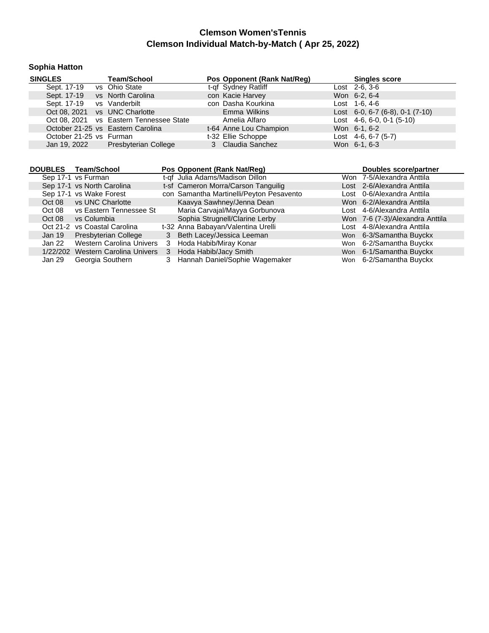## **Sophia Hatton**

| <b>SINGLES</b>                    | <b>Team/School</b>                      | Pos Opponent (Rank Nat/Reg) | <b>Singles score</b>            |
|-----------------------------------|-----------------------------------------|-----------------------------|---------------------------------|
| Sept. 17-19                       | vs Ohio State                           | t-qf Sydney Ratliff         | Lost 2-6, 3-6                   |
| Sept. 17-19                       | vs North Carolina                       | con Kacie Harvey            | Won 6-2, 6-4                    |
| Sept. 17-19 vs Vanderbilt         |                                         | con Dasha Kourkina          | Lost $1-6.4-6$                  |
| Oct 08, 2021 vs UNC Charlotte     |                                         | Emma Wilkins                | Lost 6-0, 6-7 (6-8), 0-1 (7-10) |
|                                   | Oct 08, 2021 vs Eastern Tennessee State | Amelia Alfaro               | Lost $4-6, 6-0, 0-1$ (5-10)     |
| October 21-25 vs Eastern Carolina |                                         | t-64 Anne Lou Champion      | Won 6-1, 6-2                    |
| October 21-25 vs Furman           |                                         | t-32 Ellie Schoppe          | Lost $4-6, 6-7$ (5-7)           |
| Jan 19, 2022                      | Presbyterian College                    | 3 Claudia Sanchez           | Won 6-1, 6-3                    |
|                                   |                                         |                             |                                 |

| <b>DOUBLES</b> | Team/School                       |   | Pos Opponent (Rank Nat/Reg)              | <b>Doubles score/partner</b>    |  |
|----------------|-----------------------------------|---|------------------------------------------|---------------------------------|--|
|                | Sep 17-1 vs Furman                |   | t-qf Julia Adams/Madison Dillon          | Won 7-5/Alexandra Anttila       |  |
|                | Sep 17-1 vs North Carolina        |   | t-sf Cameron Morra/Carson Tanguilig      | Lost 2-6/Alexandra Anttila      |  |
|                | Sep 17-1 vs Wake Forest           |   | con Samantha Martinelli/Peyton Pesavento | Lost 0-6/Alexandra Anttila      |  |
| Oct 08         | vs UNC Charlotte                  |   | Kaavya Sawhney/Jenna Dean                | Won 6-2/Alexandra Anttila       |  |
| Oct 08         | vs Eastern Tennessee St           |   | Maria Carvajal/Mayya Gorbunova           | Lost 4-6/Alexandra Anttila      |  |
| Oct 08         | vs Columbia                       |   | Sophia Strugnell/Clarine Lerby           | Won 7-6 (7-3)/Alexandra Anttila |  |
|                | Oct 21-2 vs Coastal Carolina      |   | t-32 Anna Babayan/Valentina Urelli       | Lost 4-8/Alexandra Anttila      |  |
| Jan 19         | Presbyterian College              |   | 3 Beth Lacey/Jessica Leeman              | Won 6-3/Samantha Buyckx         |  |
| Jan 22         | Western Carolina Univers          | 3 | Hoda Habib/Miray Konar                   | Won 6-2/Samantha Buyckx         |  |
|                | 1/22/202 Western Carolina Univers |   | 3 Hoda Habib/Jacy Smith                  | Won 6-1/Samantha Buyckx         |  |
| Jan 29         | Georgia Southern                  | 3 | Hannah Daniel/Sophie Wagemaker           | Won 6-2/Samantha Buyckx         |  |
|                |                                   |   |                                          |                                 |  |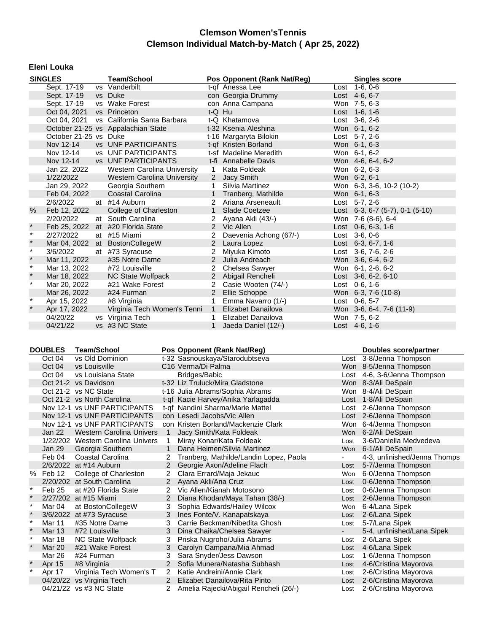#### **Eleni Louka**

|         | <b>SINGLES</b>        |  | <b>Team/School</b>                 |                | Pos Opponent (Rank Nat/Reg) |  | <b>Singles score</b>                 |
|---------|-----------------------|--|------------------------------------|----------------|-----------------------------|--|--------------------------------------|
|         | Sept. 17-19           |  | vs Vanderbilt                      |                | t-of Anessa Lee             |  | Lost 1-6, 0-6                        |
|         | Sept. 17-19           |  | vs Duke                            |                | con Georgia Drummy          |  | Lost 4-6, 6-7                        |
|         | Sept. 17-19           |  | vs Wake Forest                     |                | con Anna Campana            |  | Won 7-5, 6-3                         |
|         | Oct 04, 2021          |  | vs Princeton                       | t-Q Hu         |                             |  | Lost 1-6, 1-6                        |
|         | Oct 04, 2021          |  | vs California Santa Barbara        |                | t-Q Khatamova               |  | Lost 3-6, 2-6                        |
|         |                       |  | October 21-25 vs Appalachian State |                | t-32 Ksenia Aleshina        |  | Won 6-1, 6-2                         |
|         | October 21-25 vs Duke |  |                                    |                | t-16 Margaryta Bilokin      |  | Lost 5-7, 2-6                        |
|         | Nov 12-14             |  | <b>vs</b> UNF PARTICIPANTS         |                | t-qf Kristen Borland        |  | Won 6-1, 6-3                         |
|         | Nov 12-14             |  | <b>vs</b> UNF PARTICIPANTS         |                | t-sf Madeline Meredith      |  | Won 6-1, 6-2                         |
|         | Nov 12-14             |  | <b>vs</b> UNF PARTICIPANTS         |                | t-fi Annabelle Davis        |  | Won 4-6, 6-4, 6-2                    |
|         | Jan 22, 2022          |  | Western Carolina University        | $\mathbf{1}$   | Kata Foldeak                |  | Won 6-2, 6-3                         |
|         | 1/22/2022             |  | Western Carolina University        |                | 2 Jacy Smith                |  | Won 6-2, 6-1                         |
|         | Jan 29, 2022          |  | Georgia Southern                   | 1              | Silvia Martinez             |  | Won 6-3, 3-6, 10-2 (10-2)            |
|         | Feb 04, 2022          |  | Coastal Carolina                   |                | 1 Tranberg, Mathilde        |  | Won 6-1, 6-3                         |
|         | 2/6/2022              |  | at #14 Auburn                      |                | 2 Ariana Arseneault         |  | Lost $5-7, 2-6$                      |
| $\%$    | Feb 12, 2022          |  | College of Charleston              |                | 1 Slade Coetzee             |  | Lost 6-3, 6-7 $(5-7)$ , 0-1 $(5-10)$ |
|         | 2/20/2022             |  | at South Carolina                  | 2              | Ayana Akli (43/-)           |  | Won 7-6 (8-6), 6-4                   |
| $\ast$  |                       |  | Feb 25, 2022 at #20 Florida State  |                | 2 Vic Allen                 |  | Lost $0-6, 6-3, 1-6$                 |
| $\star$ | 2/27/2022             |  | at #15 Miami                       | 2              | Daevenia Achong (67/-)      |  | Lost 3-6, 0-6                        |
| $\ast$  |                       |  | Mar 04, 2022 at BostonCollegeW     |                | 2 Laura Lopez               |  | Lost $6-3, 6-7, 1-6$                 |
| $\star$ | 3/6/2022              |  | at #73 Syracuse                    | 2              | Miyuka Kimoto               |  | Lost 3-6, 7-6, 2-6                   |
| $\star$ | Mar 11, 2022          |  | #35 Notre Dame                     |                | 2 Julia Andreach            |  | Won 3-6, 6-4, 6-2                    |
| $\star$ | Mar 13, 2022          |  | #72 Louisville                     | 2              | Chelsea Sawyer              |  | Won 6-1, 2-6, 6-2                    |
| $\star$ | Mar 18, 2022          |  | NC State Wolfpack                  |                | 2 Abigail Rencheli          |  | Lost 3-6, 6-2, 6-10                  |
| $\star$ | Mar 20, 2022          |  | #21 Wake Forest                    | $\overline{2}$ | Casie Wooten (74/-)         |  | Lost 0-6, 1-6                        |
|         | Mar 26, 2022          |  | #24 Furman                         | 2              | Ellie Schoppe               |  | Won 6-3, 7-6 (10-8)                  |
| $\star$ | Apr 15, 2022          |  | #8 Virginia                        | $\mathbf{1}$   | Emma Navarro (1/-)          |  | Lost 0-6, 5-7                        |
| $\star$ | Apr 17, 2022          |  | Virginia Tech Women's Tenni        | $\mathbf{1}$   | Elizabet Danailova          |  | Won 3-6, 6-4, 7-6 (11-9)             |
|         | 04/20/22              |  | vs Virginia Tech                   | 1.             | Elizabet Danailova          |  | Won 7-5, 6-2                         |
|         | 04/21/22              |  | vs #3 NC State                     |                | Jaeda Daniel (12/-)         |  | Lost 4-6, 1-6                        |

|          | <b>DOUBLES</b> | <b>Team/School</b>                |                | Pos Opponent (Rank Nat/Reg)            |            | Doubles score/partner        |
|----------|----------------|-----------------------------------|----------------|----------------------------------------|------------|------------------------------|
|          | Oct 04         | vs Old Dominion                   |                | t-32 Sasnouskaya/Starodubtseva         |            | Lost 3-8/Jenna Thompson      |
|          | Oct 04         | vs Louisville                     |                | C <sub>16</sub> Verma/Di Palma         |            | Won 8-5/Jenna Thompson       |
|          | Oct 04         | vs Louisiana State                |                | Bridges/Babic                          |            | Lost 4-6, 3-6/Jenna Thompson |
|          |                | Oct 21-2 vs Davidson              |                | t-32 Liz Truluck/Mira Gladstone        |            | Won 8-3/Ali DeSpain          |
|          |                | Oct 21-2 vs NC State              |                | t-16 Julia Abrams/Sophia Abrams        |            | Won 8-4/Ali DeSpain          |
|          |                | Oct 21-2 vs North Carolina        |                | t-qf Kacie Harvey/Anika Yarlagadda     |            | Lost 1-8/Ali DeSpain         |
|          |                | Nov 12-1 vs UNF PARTICIPANTS      |                | t-qf Nandini Sharma/Marie Mattel       |            | Lost 2-6/Jenna Thompson      |
|          |                | Nov 12-1 vs UNF PARTICIPANTS      |                | con Lesedi Jacobs/Vic Allen            |            | Lost 2-6/Jenna Thompson      |
|          |                | Nov 12-1 vs UNF PARTICIPANTS      |                | con Kristen Borland/Mackenzie Clark    |            | Won 6-4/Jenna Thompson       |
|          | Jan 22         | <b>Western Carolina Univers</b>   | $\mathbf{1}$   | Jacy Smith/Kata Foldeak                | <b>Won</b> | 6-2/Ali DeSpain              |
|          |                | 1/22/202 Western Carolina Univers | 1              | Miray Konar/Kata Foldeak               | Lost       | 3-6/Daniella Medvedeva       |
|          | Jan 29         | Georgia Southern                  | $\mathbf{1}$   | Dana Heimen/Silvia Martinez            | Won        | 6-1/Ali DeSpain              |
|          | Feb 04         | Coastal Carolina                  |                | Tranberg, Mathilde/Landin Lopez, Paola |            | 4-3, unfinished/Jenna Thomps |
|          |                | 2/6/2022 at #14 Auburn            | 2              | Georgie Axon/Adeline Flach             | Lost       | 5-7/Jenna Thompson           |
| %        | Feb 12         | College of Charleston             | 2              | Clara Errard/Maja Jekauc               | Won        | 6-0/Jenna Thompson           |
|          |                | 2/20/202 at South Carolina        | 2              | Ayana Akli/Ana Cruz                    | Lost       | 0-6/Jenna Thompson           |
| $^\star$ | Feb 25         | at #20 Florida State              | 2              | Vic Allen/Kianah Motosono              | Lost       | 0-6/Jenna Thompson           |
|          |                | 2/27/202 at #15 Miami             | 2              | Diana Khodan/Maya Tahan (38/-)         | Lost       | 2-6/Jenna Thompson           |
| $\star$  | Mar 04         | at BostonCollegeW                 | 3              | Sophia Edwards/Hailey Wilcox           | Won        | 6-4/Lana Sipek               |
|          |                | 3/6/2022 at #73 Syracuse          | 3              | Ines Fonte/V. Kanapatskaya             | Lost       | 2-6/Lana Sipek               |
| $\ast$   | Mar 11         | #35 Notre Dame                    | 3              | Carrie Beckman/Nibedita Ghosh          | Lost       | 5-7/Lana Sipek               |
|          | <b>Mar 13</b>  | #72 Louisville                    | 3              | Dina Chaika/Chelsea Sawyer             |            | 5-4, unfinished/Lana Sipek   |
| $\ast$   | <b>Mar 18</b>  | NC State Wolfpack                 | 3              | Priska Nugroho/Julia Abrams            | Lost       | 2-6/Lana Sipek               |
|          | Mar 20         | #21 Wake Forest                   | 3              | Carolyn Campana/Mia Ahmad              | Lost       | 4-6/Lana Sipek               |
|          | Mar 26         | #24 Furman                        | 3              | Sara Snyder/Jess Dawson                | Lost       | 1-6/Jenna Thompson           |
|          | Apr 15         | #8 Virginia                       | $\overline{2}$ | Sofia Munera/Natasha Subhash           | Lost       | 4-6/Cristina Mayorova        |
|          | Apr 17         | Virginia Tech Women's T           | $\overline{2}$ | Katie Andreini/Annie Clark             | Lost       | 2-6/Cristina Mayorova        |
|          |                | 04/20/22 vs Virginia Tech         | $\overline{2}$ | Elizabet Danailova/Rita Pinto          | Lost       | 2-6/Cristina Mayorova        |
|          |                | 04/21/22 vs #3 NC State           |                | Amelia Rajecki/Abigail Rencheli (26/-) | Lost       | 2-6/Cristina Mayorova        |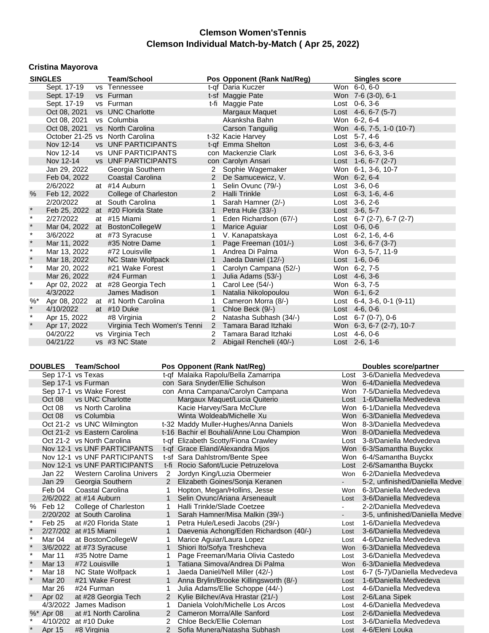#### **Cristina Mayorova**

|         | <b>SINGLES</b> |  | <b>Team/School</b>                |                | Pos Opponent (Rank Nat/Reg) |  | <b>Singles score</b>                  |
|---------|----------------|--|-----------------------------------|----------------|-----------------------------|--|---------------------------------------|
|         | Sept. 17-19    |  | vs Tennessee                      |                | t-qf Daria Kuczer           |  | Won 6-0, 6-0                          |
|         | Sept. 17-19    |  | vs Furman                         |                | t-sf Maggie Pate            |  | Won 7-6 (3-0), 6-1                    |
|         | Sept. 17-19    |  | vs Furman                         |                | t-fi Maggie Pate            |  | Lost 0-6, 3-6                         |
|         | Oct 08, 2021   |  | vs UNC Charlotte                  |                | Margaux Maquet              |  | Lost $4-6, 6-7$ (5-7)                 |
|         | Oct 08, 2021   |  | vs Columbia                       |                | Akanksha Bahn               |  | Won 6-2, 6-4                          |
|         | Oct 08, 2021   |  | vs North Carolina                 |                | Carson Tanguilig            |  | Won 4-6, 7-5, 1-0 (10-7)              |
|         |                |  | October 21-25 vs North Carolina   |                | t-32 Kacie Harvey           |  | Lost 5-7, 4-6                         |
|         | Nov 12-14      |  | <b>vs</b> UNF PARTICIPANTS        |                | t-of Emma Shelton           |  | Lost 3-6, 6-3, 4-6                    |
|         | Nov 12-14      |  | <b>vs</b> UNF PARTICIPANTS        |                | con Mackenzie Clark         |  | Lost 3-6, 6-3, 3-6                    |
|         | Nov 12-14      |  | <b>vs</b> UNF PARTICIPANTS        |                | con Carolyn Ansari          |  | Lost 1-6, 6-7 (2-7)                   |
|         | Jan 29, 2022   |  | Georgia Southern                  |                | 2 Sophie Wagemaker          |  | Won 6-1, 3-6, 10-7                    |
|         | Feb 04, 2022   |  | Coastal Carolina                  |                | 2 De Samucewicz, V.         |  | Won 6-2, 6-4                          |
|         | 2/6/2022       |  | at #14 Auburn                     | 1              | Selin Ovunc (79/-)          |  | Lost 3-6, 0-6                         |
| $\%$    | Feb 12, 2022   |  | College of Charleston             |                | 2 Halli Trinkle             |  | Lost $6-3$ , 1-6, 4-6                 |
|         | 2/20/2022      |  | at South Carolina                 | $\mathbf{1}$   | Sarah Hamner (2/-)          |  | Lost 3-6, 2-6                         |
| $\star$ | Feb 25, 2022   |  | at #20 Florida State              | $\mathbf{1}$   | Petra Hule (33/-)           |  | Lost 3-6, 5-7                         |
| $\star$ | 2/27/2022      |  | at #15 Miami                      |                | Eden Richardson (67/-)      |  | Lost 6-7 (2-7), 6-7 (2-7)             |
| $\star$ |                |  | Mar 04, 2022 at BostonCollegeW    | $\mathbf{1}$   | Marice Aquiar               |  | Lost 0-6, 0-6                         |
| $\star$ | 3/6/2022       |  | at #73 Syracuse                   | $\mathbf{1}$   | V. Kanapatskaya             |  | Lost 6-2, 1-6, 4-6                    |
| $\star$ | Mar 11, 2022   |  | #35 Notre Dame                    | $\mathbf{1}$   | Page Freeman (101/-)        |  | Lost $3-6, 6-7$ (3-7)                 |
| $\star$ | Mar 13, 2022   |  | #72 Louisville                    |                | Andrea Di Palma             |  | Won 6-3, 5-7, 11-9                    |
| $\star$ | Mar 18, 2022   |  | NC State Wolfpack                 | $\mathbf{1}$   | Jaeda Daniel (12/-)         |  | Lost $1-6, 0-6$                       |
| $\star$ | Mar 20, 2022   |  | #21 Wake Forest                   | 1              | Carolyn Campana (52/-)      |  | Won 6-2, 7-5                          |
|         | Mar 26, 2022   |  | #24 Furman                        | $\mathbf{1}$   | Julia Adams (53/-)          |  | Lost 4-6, 3-6                         |
| $\star$ | Apr 02, 2022   |  | at #28 Georgia Tech               |                | Carol Lee (54/-)            |  | Won 6-3, 7-5                          |
|         | 4/3/2022       |  | James Madison                     | $\mathbf{1}$   | Natalia Nikolopoulou        |  | Won 6-1, 6-2                          |
| $%$ *   |                |  | Apr 08, 2022 at #1 North Carolina | 1              | Cameron Morra (8/-)         |  | Lost $6-4$ , $3-6$ , $0-1$ ( $9-11$ ) |
| $\star$ | 4/10/2022      |  | at #10 Duke                       | 1              | Chloe Beck (9/-)            |  | Lost 4-6, 0-6                         |
| $\star$ | Apr 15, 2022   |  | #8 Virginia                       | 2              | Natasha Subhash (34/-)      |  | Lost $6-7$ (0-7), 0-6                 |
| $\star$ | Apr 17, 2022   |  | Virginia Tech Women's Tenni       | $\overline{2}$ | Tamara Barad Itzhaki        |  | Won 6-3, 6-7 (2-7), 10-7              |
|         | 04/20/22       |  | vs Virginia Tech                  |                | 2 Tamara Barad Itzhaki      |  | Lost 4-6, 0-6                         |
|         | 04/21/22       |  | vs #3 NC State                    |                | 2 Abigail Rencheli (40/-)   |  | Lost 2-6, 1-6                         |

#### **DOUBLES Team/School Pos Opponent (Rank Nat/Reg) Doubles score/partner**

|         |               | Sep 17-1 vs Texas               |                | t-qf Malaika Rapolu/Bella Zamarripa      |            | Lost 3-6/Daniella Medvedeva    |
|---------|---------------|---------------------------------|----------------|------------------------------------------|------------|--------------------------------|
|         |               | Sep 17-1 vs Furman              |                | con Sara Snyder/Ellie Schulson           |            | Won 6-4/Daniella Medvedeva     |
|         |               | Sep 17-1 vs Wake Forest         |                | con Anna Campana/Carolyn Campana         |            | Won 7-5/Daniella Medvedeva     |
|         | Oct 08        | vs UNC Charlotte                |                | Margaux Maquet/Lucia Quiterio            |            | Lost 1-6/Daniella Medvedeva    |
|         | Oct 08        | vs North Carolina               |                | Kacie Harvey/Sara McClure                |            | Won 6-1/Daniella Medvedeva     |
|         | Oct 08        | vs Columbia                     |                | Winta Woldeab/Michelle Xu                |            | Won 6-3/Daniella Medvedeva     |
|         |               | Oct 21-2 vs UNC Wilmington      |                | t-32 Maddy Muller-Hughes/Anna Daniels    |            | Won 8-3/Daniella Medvedeva     |
|         |               | Oct 21-2 vs Eastern Carolina    |                | t-16 Bachir el Bouhali/Anne Lou Champion |            | Won 8-0/Daniella Medvedeva     |
|         |               | Oct 21-2 vs North Carolina      |                | t-qf Elizabeth Scotty/Fiona Crawley      |            | Lost 3-8/Daniella Medvedeva    |
|         |               | Nov 12-1 vs UNF PARTICIPANTS    |                | t-gf Grace Eland/Alexandra Mios          |            | Won 6-3/Samantha Buyckx        |
|         |               | Nov 12-1 vs UNF PARTICIPANTS    |                | t-sf Sara Dahlstrom/Bente Spee           |            | Won 6-4/Samantha Buyckx        |
|         |               | Nov 12-1 vs UNF PARTICIPANTS    | t-fi           | Rocio Safont/Lucie Petruzelova           |            | Lost 2-6/Samantha Buyckx       |
|         | Jan 22        | <b>Western Carolina Univers</b> | 2              | Jordyn King/Luzia Obermeier              | <b>Won</b> | 6-2/Daniella Medvedeva         |
|         | Jan 29        | Georgia Southern                | $2^{\circ}$    | Elizabeth Goines/Sonja Keranen           |            | 5-2, unfinished/Daniella Medve |
|         | Feb 04        | Coastal Carolina                |                | Hopton, Megan/Hollins, Jesse             | Won        | 6-3/Daniella Medvedeva         |
|         |               | 2/6/2022 at #14 Auburn          | $\mathbf{1}$   | Selin Ovunc/Ariana Arseneault            | Lost       | 3-6/Daniella Medvedeva         |
|         | % Feb 12      | College of Charleston           | $\mathbf 1$    | Halli Trinkle/Slade Coetzee              |            | 2-2/Daniella Medvedeva         |
|         |               | 2/20/202 at South Carolina      |                | Sarah Hamner/Misa Malkin (39/-)          |            | 3-5, unfinished/Daniella Medve |
| $\ast$  | Feb 25        | at #20 Florida State            | 1              | Petra Hule/Lesedi Jacobs (29/-)          | Lost       | 1-6/Daniella Medvedeva         |
| $\star$ |               | 2/27/202 at #15 Miami           | $\mathbf 1$    | Daevenia Achong/Eden Richardson (40/-)   | Lost       | 3-6/Daniella Medvedeva         |
| $\star$ | Mar 04        | at BostonCollegeW               |                | Marice Aguiar/Laura Lopez                | Lost       | 4-6/Daniella Medvedeva         |
| $\star$ |               | 3/6/2022 at #73 Syracuse        | 1              | Shiori Ito/Sofya Treshcheva              | Won        | 6-3/Daniella Medvedeva         |
| $\star$ | Mar 11        | #35 Notre Dame                  |                | Page Freeman/Maria Olivia Castedo        | Lost       | 3-6/Daniella Medvedeva         |
| $\star$ | <b>Mar 13</b> | #72 Louisville                  | $\mathbf{1}$   | Tatiana Simova/Andrea Di Palma           | <b>Won</b> | 6-3/Daniella Medvedeva         |
| $\star$ | Mar 18        | NC State Wolfpack               |                | Jaeda Daniel/Nell Miller (42/-)          | Lost       | 6-7 (5-7)/Daniella Medvedeva   |
| $\star$ | Mar 20        | #21 Wake Forest                 | $\mathbf{1}$   | Anna Brylin/Brooke Killingsworth (8/-)   | Lost       | 1-6/Daniella Medvedeva         |
|         | Mar 26        | #24 Furman                      |                | Julia Adams/Ellie Schoppe (44/-)         | Lost       | 4-6/Daniella Medvedeva         |
| $\star$ | Apr 02        | at #28 Georgia Tech             | 2              | Kylie Bilchev/Ava Hrastar (21/-)         | Lost       | 2-6/Lana Sipek                 |
|         |               | 4/3/2022 James Madison          | 1              | Daniela Voloh/Michelle Los Arcos         | Lost       | 4-6/Daniella Medvedeva         |
|         | $%$ * Apr 08  | at #1 North Carolina            | $\overline{2}$ | Cameron Morra/Alle Sanford               | Lost       | 2-6/Daniella Medvedeva         |
| $\star$ |               | 4/10/202 at #10 Duke            | 2              | Chloe Beck/Ellie Coleman                 | Lost       | 3-6/Daniella Medvedeva         |
| $\star$ | Apr 15        | #8 Virginia                     |                | Sofia Munera/Natasha Subhash             |            | Lost 4-6/Eleni Louka           |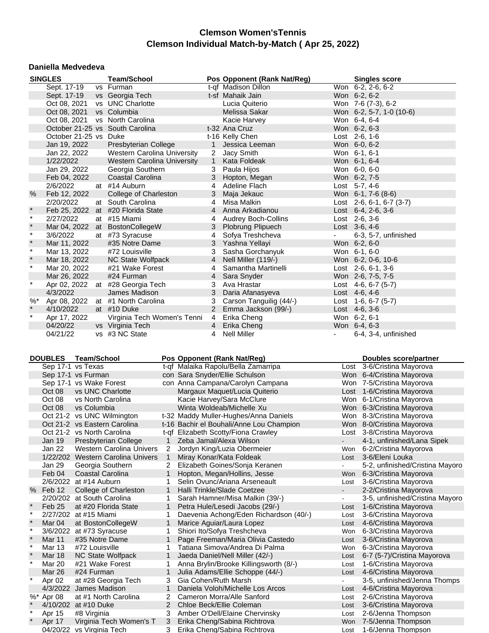#### **Daniella Medvedeva**

|                  | <b>SINGLES</b>               |                    | <b>Team/School</b>                 |              |                | Pos Opponent (Rank Nat/Reg)              |                          | <b>Singles score</b>            |
|------------------|------------------------------|--------------------|------------------------------------|--------------|----------------|------------------------------------------|--------------------------|---------------------------------|
|                  | Sept. 17-19                  |                    | vs Furman                          |              |                | t-qf Madison Dillon                      |                          | Won 6-2, 2-6, 6-2               |
|                  | Sept. 17-19                  |                    | vs Georgia Tech                    |              |                | t-sf Mahaik Jain                         |                          | Won 6-2, 6-2                    |
|                  | Oct 08, 2021                 |                    | vs UNC Charlotte                   |              |                | Lucia Quiterio                           |                          | Won 7-6 (7-3), 6-2              |
|                  | Oct 08, 2021                 |                    | vs Columbia                        |              |                | Melissa Sakar                            |                          | Won 6-2, 5-7, 1-0 (10-6)        |
|                  | Oct 08, 2021                 |                    | vs North Carolina                  |              |                |                                          |                          | Won 6-4, 6-4                    |
|                  |                              |                    | October 21-25 vs South Carolina    |              |                | Kacie Harvey<br>t-32 Ana Cruz            |                          |                                 |
|                  |                              |                    |                                    |              |                |                                          |                          | Won 6-2, 6-3                    |
|                  | October 21-25 vs Duke        |                    |                                    |              |                | t-16 Kelly Chen                          |                          | Lost 2-6, 1-6                   |
|                  | Jan 19, 2022                 |                    | Presbyterian College               |              | $\mathbf{1}$   | Jessica Leeman                           |                          | Won 6-0, 6-2                    |
|                  | Jan 22, 2022                 |                    | Western Carolina University        |              | 2              | Jacy Smith                               |                          | Won 6-1, 6-1                    |
|                  | 1/22/2022                    |                    | <b>Western Carolina University</b> |              | $\mathbf{1}$   | Kata Foldeak                             |                          | Won 6-1, 6-4                    |
|                  | Jan 29, 2022                 |                    | Georgia Southern                   |              | 3              | Paula Hijos                              |                          | Won 6-0, 6-0                    |
|                  | Feb 04, 2022                 |                    | Coastal Carolina                   |              | 3              | Hopton, Megan                            |                          | Won 6-2, 7-5                    |
|                  | 2/6/2022                     |                    | at #14 Auburn                      |              | 4              | Adeline Flach                            |                          | Lost 5-7, 4-6                   |
| %                | Feb 12, 2022                 |                    | College of Charleston              |              | 3              | Maja Jekauc                              |                          | Won 6-1, 7-6 (8-6)              |
|                  | 2/20/2022                    |                    | at South Carolina                  |              | 4              | Misa Malkin                              |                          | Lost $2-6$ , 6-1, 6-7 (3-7)     |
| $\star$          |                              |                    | Feb 25, 2022 at #20 Florida State  |              | $\overline{4}$ | Anna Arkadianou                          |                          | Lost 6-4, 2-6, 3-6              |
| $\star$          | 2/27/2022                    |                    | at #15 Miami                       |              | 4              | <b>Audrey Boch-Collins</b>               |                          | Lost 2-6, 3-6                   |
| $\star$          |                              |                    | Mar 04, 2022 at BostonCollegeW     |              | 3              | Plobrung Plipuech                        |                          | Lost 3-6, 4-6                   |
| $\star$          | 3/6/2022                     |                    | at #73 Syracuse                    |              | 4              | Sofya Treshcheva                         |                          | 6-3, 5-7, unfinished            |
| $\star$          | Mar 11, 2022                 |                    | #35 Notre Dame                     |              | 3              | Yashna Yellayi                           |                          | Won 6-2, 6-0                    |
| $\star$          | Mar 13, 2022                 |                    | #72 Louisville                     |              | 3              | Sasha Gorchanyuk                         |                          | Won 6-1, 6-0                    |
| $\star$          | Mar 18, 2022                 |                    | NC State Wolfpack                  |              | $\overline{4}$ | Nell Miller (119/-)                      |                          | Won 6-2, 0-6, 10-6              |
| $\star$          | Mar 20, 2022                 |                    | #21 Wake Forest                    |              | 4              | Samantha Martinelli                      |                          | Lost $2-6, 6-1, 3-6$            |
|                  | Mar 26, 2022                 |                    | #24 Furman                         |              | $\overline{4}$ |                                          |                          | Won 2-6, 7-5, 7-5               |
| $\star$          |                              |                    |                                    |              |                | Sara Snyder                              |                          |                                 |
|                  | Apr 02, 2022                 |                    | at #28 Georgia Tech                |              | 3              | Ava Hrastar                              |                          | Lost $4-6, 6-7$ (5-7)           |
|                  | 4/3/2022                     |                    | James Madison                      |              | 3              | Daria Afanasyeva                         |                          | Lost $4-6, 4-6$                 |
| $%^*$<br>$\star$ |                              |                    | Apr 08, 2022 at #1 North Carolina  |              | 3              | Carson Tanguilig (44/-)                  |                          | Lost $1-6, 6-7$ (5-7)           |
|                  | 4/10/2022                    |                    | at #10 Duke                        |              | $2^{\circ}$    | Emma Jackson (99/-)                      |                          | Lost 4-6, 3-6                   |
| $\star$          | Apr 17, 2022                 |                    | Virginia Tech Women's Tenni        |              | 4              | Erika Cheng                              |                          | Won 6-2, 6-1                    |
|                  | 04/20/22                     |                    | vs Virginia Tech                   |              | $\overline{4}$ | Erika Cheng                              |                          | Won 6-4, 6-3                    |
|                  | 04/21/22                     |                    | vs #3 NC State                     |              | 4              | <b>Nell Miller</b>                       |                          | 6-4, 3-4, unfinished            |
|                  |                              |                    |                                    |              |                |                                          |                          |                                 |
|                  | <b>DOUBLES</b>               | <b>Team/School</b> |                                    |              |                | Pos Opponent (Rank Nat/Reg)              |                          | Doubles score/partner           |
|                  | Sep 17-1 vs Texas            |                    |                                    |              |                | t-qf Malaika Rapolu/Bella Zamarripa      |                          | Lost 3-6/Cristina Mayorova      |
|                  | Sep 17-1 vs Furman           |                    |                                    |              |                | con Sara Snyder/Ellie Schulson           |                          | Won 6-4/Cristina Mayorova       |
|                  | Sep 17-1 vs Wake Forest      |                    |                                    |              |                | con Anna Campana/Carolyn Campana         |                          | Won 7-5/Cristina Mayorova       |
|                  | Oct 08                       |                    | vs UNC Charlotte                   |              |                | Margaux Maquet/Lucia Quiterio            |                          | Lost 1-6/Cristina Mayorova      |
|                  | Oct 08                       |                    | vs North Carolina                  |              |                | Kacie Harvey/Sara McClure                |                          | Won 6-1/Cristina Mayorova       |
|                  |                              |                    |                                    |              |                |                                          |                          |                                 |
|                  | Oct 08                       | vs Columbia        |                                    |              |                | Winta Woldeab/Michelle Xu                |                          | Won 6-3/Cristina Mayorova       |
|                  | Oct 21-2 vs UNC Wilmington   |                    |                                    |              |                | t-32 Maddy Muller-Hughes/Anna Daniels    |                          | Won 8-3/Cristina Mayorova       |
|                  | Oct 21-2 vs Eastern Carolina |                    |                                    |              |                | t-16 Bachir el Bouhali/Anne Lou Champion |                          | Won 8-0/Cristina Mayorova       |
|                  | Oct 21-2 vs North Carolina   |                    |                                    |              |                | t-qf Elizabeth Scotty/Fiona Crawley      |                          | Lost 3-8/Cristina Mayorova      |
|                  | Jan 19                       |                    | Presbyterian College               | 1            |                | Zeba Jamal/Alexa Wilson                  |                          | 4-1, unfinished/Lana Sipek      |
|                  | Jan 22                       |                    | <b>Western Carolina Univers</b>    | 2            |                | Jordyn King/Luzia Obermeier              | Won                      | 6-2/Cristina Mayorova           |
|                  |                              |                    | 1/22/202 Western Carolina Univers  | $\mathbf{1}$ |                | Miray Konar/Kata Foldeak                 | Lost                     | 3-6/Eleni Louka                 |
|                  | Jan 29                       |                    | Georgia Southern                   | 2            |                | Elizabeth Goines/Sonja Keranen           | $\overline{\phantom{0}}$ | 5-2, unfinished/Cristina Mayoro |
|                  | Feb 04                       |                    | Coastal Carolina                   | $\mathbf{1}$ |                | Hopton, Megan/Hollins, Jesse             | Won                      | 6-3/Cristina Mayorova           |
|                  | 2/6/2022 at #14 Auburn       |                    |                                    | 1            |                | Selin Ovunc/Ariana Arseneault            | Lost                     | 3-6/Cristina Mayorova           |
|                  | % Feb 12                     |                    | College of Charleston              | 1            |                | Halli Trinkle/Slade Coetzee              | $\blacksquare$           | 2-2/Cristina Mayorova           |
|                  | 2/20/202 at South Carolina   |                    |                                    | 1            |                | Sarah Hamner/Misa Malkin (39/-)          | $\overline{\phantom{0}}$ | 3-5, unfinished/Cristina Mayoro |
| $\star$          | Feb 25                       |                    | at #20 Florida State               | 1            |                | Petra Hule/Lesedi Jacobs (29/-)          | Lost                     | 1-6/Cristina Mayorova           |
| $\star$          | 2/27/202 at #15 Miami        |                    |                                    | 1.           |                | Daevenia Achong/Eden Richardson (40/-)   | Lost                     | 3-6/Cristina Mayorova           |
|                  | Mar <sub>04</sub>            |                    | at BostonCollegeW                  | 1            |                | Marice Aguiar/Laura Lopez                | Lost                     | 4-6/Cristina Mayorova           |
|                  | 3/6/2022 at #73 Syracuse     |                    |                                    | 1            |                | Shiori Ito/Sofya Treshcheva              | Won                      | 6-3/Cristina Mayorova           |
|                  |                              |                    |                                    |              |                |                                          |                          |                                 |

3-5, unfinished/Jenna Thomps

 $\overline{\phantom{a}}$ 

| Shiori Ito/Sofya Treshcheva<br>$3/6/2022$ at #73 Syracuse<br>6-3/Cristina Mayorova<br>Won<br>Page Freeman/Maria Olivia Castedo<br>3-6/Cristina Mayorova<br>#35 Notre Dame<br><b>Mar 11</b><br>Lost<br>Tatiana Simova/Andrea Di Palma<br>6-3/Cristina Mayorova<br>Mar 13<br>#72 Louisville<br>Won<br><b>NC State Wolfpack</b><br>Jaeda Daniel/Nell Miller (42/-)<br><b>Mar 18</b><br>Lost<br>Anna Brylin/Brooke Killingsworth (8/-)<br>#21 Wake Forest<br>1-6/Cristina Mayorova<br>Mar 20<br>Lost<br>Julia Adams/Ellie Schoppe (44/-)<br>4-6/Cristina Mayorova<br>Mar 26<br>#24 Furman<br>Lost<br>3 Gia Cohen/Ruth Marsh<br>at #28 Georgia Tech<br>Apr 02<br>4/3/2022 James Madison<br>Daniela Voloh/Michelle Los Arcos<br>4-6/Cristina Mayorova<br>Lost<br>2-6/Cristina Mayorova<br>at #1 North Carolina<br>2 Cameron Morra/Alle Sanford<br>$%$ * Apr 08<br>Lost<br>3-6/Cristina Mayorova<br>2 Chloe Beck/Ellie Coleman<br>4/10/202 at #10 Duke<br>Lost<br>Amber O'Dell/Elaine Chervinsky<br>2-6/Jenna Thompson<br>#8 Virginia<br>Apr 15<br>3<br>Lost<br>Virginia Tech Women's T<br>Erika Cheng/Sabina Richtrova<br>Won 7-5/Jenna Thompson<br>Apr 17<br>3<br>vs Virginia Tech<br>3 Erika Cheng/Sabina Richtrova<br>04/20/22<br>1-6/Jenna Thompson<br>Lost |  |  |  |                             |
|-----------------------------------------------------------------------------------------------------------------------------------------------------------------------------------------------------------------------------------------------------------------------------------------------------------------------------------------------------------------------------------------------------------------------------------------------------------------------------------------------------------------------------------------------------------------------------------------------------------------------------------------------------------------------------------------------------------------------------------------------------------------------------------------------------------------------------------------------------------------------------------------------------------------------------------------------------------------------------------------------------------------------------------------------------------------------------------------------------------------------------------------------------------------------------------------------------------------------------------------------------------|--|--|--|-----------------------------|
|                                                                                                                                                                                                                                                                                                                                                                                                                                                                                                                                                                                                                                                                                                                                                                                                                                                                                                                                                                                                                                                                                                                                                                                                                                                           |  |  |  |                             |
|                                                                                                                                                                                                                                                                                                                                                                                                                                                                                                                                                                                                                                                                                                                                                                                                                                                                                                                                                                                                                                                                                                                                                                                                                                                           |  |  |  |                             |
|                                                                                                                                                                                                                                                                                                                                                                                                                                                                                                                                                                                                                                                                                                                                                                                                                                                                                                                                                                                                                                                                                                                                                                                                                                                           |  |  |  |                             |
|                                                                                                                                                                                                                                                                                                                                                                                                                                                                                                                                                                                                                                                                                                                                                                                                                                                                                                                                                                                                                                                                                                                                                                                                                                                           |  |  |  | 6-7 (5-7)/Cristina Mayorova |
|                                                                                                                                                                                                                                                                                                                                                                                                                                                                                                                                                                                                                                                                                                                                                                                                                                                                                                                                                                                                                                                                                                                                                                                                                                                           |  |  |  |                             |
|                                                                                                                                                                                                                                                                                                                                                                                                                                                                                                                                                                                                                                                                                                                                                                                                                                                                                                                                                                                                                                                                                                                                                                                                                                                           |  |  |  |                             |
|                                                                                                                                                                                                                                                                                                                                                                                                                                                                                                                                                                                                                                                                                                                                                                                                                                                                                                                                                                                                                                                                                                                                                                                                                                                           |  |  |  | 3-5, unfinished/Jenna Thom  |
|                                                                                                                                                                                                                                                                                                                                                                                                                                                                                                                                                                                                                                                                                                                                                                                                                                                                                                                                                                                                                                                                                                                                                                                                                                                           |  |  |  |                             |
|                                                                                                                                                                                                                                                                                                                                                                                                                                                                                                                                                                                                                                                                                                                                                                                                                                                                                                                                                                                                                                                                                                                                                                                                                                                           |  |  |  |                             |
|                                                                                                                                                                                                                                                                                                                                                                                                                                                                                                                                                                                                                                                                                                                                                                                                                                                                                                                                                                                                                                                                                                                                                                                                                                                           |  |  |  |                             |
|                                                                                                                                                                                                                                                                                                                                                                                                                                                                                                                                                                                                                                                                                                                                                                                                                                                                                                                                                                                                                                                                                                                                                                                                                                                           |  |  |  |                             |
|                                                                                                                                                                                                                                                                                                                                                                                                                                                                                                                                                                                                                                                                                                                                                                                                                                                                                                                                                                                                                                                                                                                                                                                                                                                           |  |  |  |                             |
|                                                                                                                                                                                                                                                                                                                                                                                                                                                                                                                                                                                                                                                                                                                                                                                                                                                                                                                                                                                                                                                                                                                                                                                                                                                           |  |  |  |                             |
|                                                                                                                                                                                                                                                                                                                                                                                                                                                                                                                                                                                                                                                                                                                                                                                                                                                                                                                                                                                                                                                                                                                                                                                                                                                           |  |  |  |                             |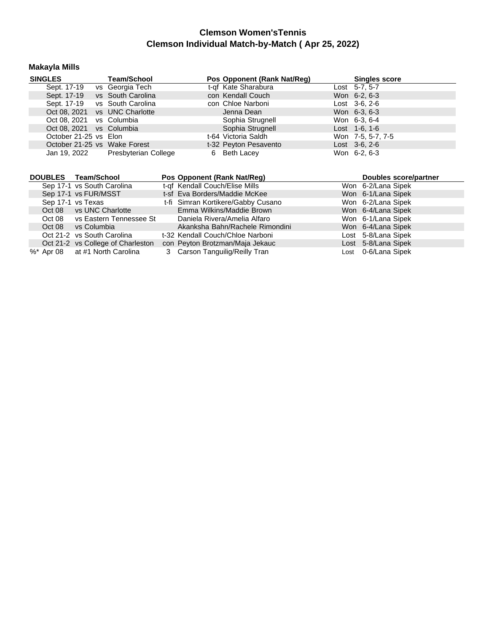## **Makayla Mills**

| <b>SINGLES</b>                       | <b>Team/School</b>   | Pos Opponent (Rank Nat/Req) | <b>Singles score</b>  |
|--------------------------------------|----------------------|-----------------------------|-----------------------|
| Sept. 17-19                          | vs Georgia Tech      | t-qf Kate Sharabura         | Lost 5-7, 5-7         |
| Sept. 17-19                          | vs South Carolina    | con Kendall Couch           | Won 6-2, 6-3          |
| Sept. 17-19                          | vs South Carolina    | con Chloe Narboni           | Lost 3-6, 2-6         |
| Oct 08, 2021                         | vs UNC Charlotte     | Jenna Dean                  | Won 6-3, 6-3          |
| Oct 08, 2021                         | vs Columbia          | Sophia Strugnell            | Won 6-3, 6-4          |
| Oct 08, 2021                         | vs Columbia          | Sophia Strugnell            | Lost $1-6$ , $1-6$    |
| October 21-25 vs Elon                |                      | t-64 Victoria Saldh         | Won 7-5, 5-7, 7-5     |
| October 21-25 vs Wake Forest         |                      | t-32 Peyton Pesavento       | $Last \, 3-6, 2-6$    |
| Jan 19, 2022                         | Presbyterian College | Beth Lacey<br>6             | Won 6-2, 6-3          |
|                                      |                      |                             |                       |
|                                      |                      |                             |                       |
| <b>DOUBLES</b><br><b>Team/School</b> |                      | Pos Opponent (Rank Nat/Reg) | Doubles score/partner |

| <b>DUULLU</b> | וטטווטטוויטטו                     | $\sim$ 03 Opponent main natricell  | <b>DUUDICS SCULTION</b> |
|---------------|-----------------------------------|------------------------------------|-------------------------|
|               | Sep 17-1 vs South Carolina        | t-of Kendall Couch/Elise Mills     | Won 6-2/Lana Sipek      |
|               | Sep 17-1 vs FUR/MSST              | t-sf Eva Borders/Maddie McKee      | Won 6-1/Lana Sipek      |
|               | Sep 17-1 vs Texas                 | t-fi Simran Kortikere/Gabby Cusano | Won 6-2/Lana Sipek      |
|               | Oct 08 vs UNC Charlotte           | Emma Wilkins/Maddie Brown          | Won 6-4/Lana Sipek      |
|               | Oct 08 vs Eastern Tennessee St    | Daniela Rivera/Amelia Alfaro       | Won 6-1/Lana Sipek      |
| Oct 08        | vs Columbia                       | Akanksha Bahn/Rachele Rimondini    | Won 6-4/Lana Sipek      |
|               | Oct 21-2 vs South Carolina        | t-32 Kendall Couch/Chloe Narboni   | Lost 5-8/Lana Sipek     |
|               | Oct 21-2 vs College of Charleston | con Peyton Brotzman/Maja Jekauc    | Lost 5-8/Lana Sipek     |
|               | %* Apr 08 at #1 North Carolina    | 3 Carson Tanguilig/Reilly Tran     | Lost 0-6/Lana Sipek     |
|               |                                   |                                    |                         |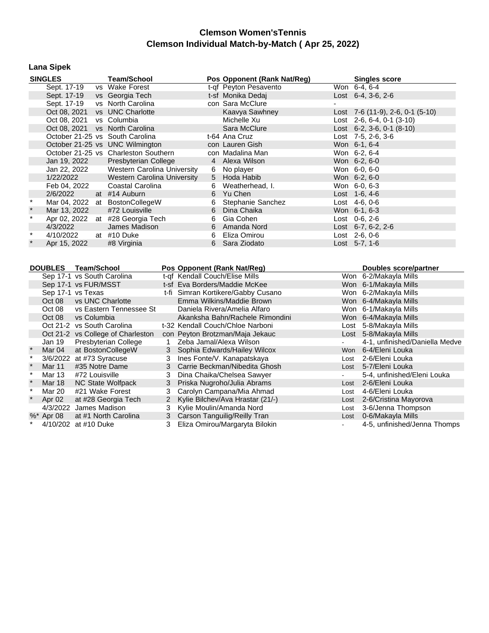## **Lana Sipek**

|              | <b>SINGLES</b> | <b>Team/School</b>                   |   | Pos Opponent (Rank Nat/Reg) | <b>Singles score</b>                |
|--------------|----------------|--------------------------------------|---|-----------------------------|-------------------------------------|
|              | Sept. 17-19    | vs Wake Forest                       |   | t-gf Peyton Pesavento       | Won 6-4, 6-4                        |
|              | Sept. 17-19    | vs Georgia Tech                      |   | t-sf Monika Dedaj           | Lost $6-4$ , $3-6$ , $2-6$          |
|              | Sept. 17-19    | vs North Carolina                    |   | con Sara McClure            |                                     |
|              | Oct 08, 2021   | vs UNC Charlotte                     |   | Kaavya Sawhney              | Lost $7-6$ (11-9), 2-6, 0-1 (5-10)  |
|              | Oct 08, 2021   | vs Columbia                          |   | Michelle Xu                 | Lost $2-6$ , 6-4, 0-1 (3-10)        |
|              |                | Oct 08, 2021 vs North Carolina       |   | Sara McClure                | Lost $6-2$ , $3-6$ , $0-1$ $(8-10)$ |
|              |                | October 21-25 vs South Carolina      |   | t-64 Ana Cruz               | Lost 7-5, 2-6, 3-6                  |
|              |                | October 21-25 vs UNC Wilmington      |   | con Lauren Gish             | Won 6-1, 6-4                        |
|              |                | October 21-25 vs Charleston Southern |   | con Madalina Man            | Won 6-2, 6-4                        |
|              | Jan 19, 2022   | Presbyterian College                 |   | 4 Alexa Wilson              | Won 6-2, 6-0                        |
|              | Jan 22, 2022   | Western Carolina University          |   | 6 No player                 | Won 6-0, 6-0                        |
|              | 1/22/2022      | Western Carolina University          |   | 5 Hoda Habib                | Won 6-2, 6-0                        |
|              | Feb 04, 2022   | Coastal Carolina                     |   | 6 Weatherhead, I.           | Won 6-0, 6-3                        |
|              | 2/6/2022       | at #14 Auburn                        |   | 6 Yu Chen                   | Lost $1-6, 4-6$                     |
|              |                | Mar 04, 2022 at BostonCollegeW       | 6 | Stephanie Sanchez           | Lost 4-6, 0-6                       |
| $\ast$       | Mar 13, 2022   | #72 Louisville                       | 6 | Dina Chaika                 | Won 6-1, 6-3                        |
|              |                | Apr 02, 2022 at #28 Georgia Tech     | 6 | Gia Cohen                   | $Last 0-6, 2-6$                     |
|              | 4/3/2022       | James Madison                        |   | 6 Amanda Nord               | Lost $6-7, 6-2, 2-6$                |
| $\pmb{\ast}$ | 4/10/2022      | at #10 Duke                          | 6 | Eliza Omirou                | Lost 2-6, 0-6                       |
|              | Apr 15, 2022   | #8 Virginia                          |   | 6 Sara Ziodato              | Lost 5-7, 1-6                       |

| <b>DOUBLES</b> | <b>Team/School</b>                |              | Pos Opponent (Rank Nat/Reg)        |      | Doubles score/partner          |
|----------------|-----------------------------------|--------------|------------------------------------|------|--------------------------------|
|                | Sep 17-1 vs South Carolina        |              | t-of Kendall Couch/Elise Mills     |      | Won 6-2/Makayla Mills          |
|                | Sep 17-1 vs FUR/MSST              |              | t-sf Eva Borders/Maddie McKee      |      | Won 6-1/Makayla Mills          |
|                | Sep 17-1 vs Texas                 |              | t-fi Simran Kortikere/Gabby Cusano |      | Won 6-2/Makayla Mills          |
| Oct 08         | vs UNC Charlotte                  |              | Emma Wilkins/Maddie Brown          |      | Won 6-4/Makayla Mills          |
| Oct 08         | vs Eastern Tennessee St           |              | Daniela Rivera/Amelia Alfaro       |      | Won 6-1/Makayla Mills          |
| Oct 08         | vs Columbia                       |              | Akanksha Bahn/Rachele Rimondini    |      | Won 6-4/Makayla Mills          |
|                | Oct 21-2 vs South Carolina        |              | t-32 Kendall Couch/Chloe Narboni   |      | Lost 5-8/Makayla Mills         |
|                | Oct 21-2 vs College of Charleston |              | con Peyton Brotzman/Maja Jekauc    |      | Lost 5-8/Makayla Mills         |
| Jan 19         | Presbyterian College              |              | Zeba Jamal/Alexa Wilson            |      | 4-1, unfinished/Daniella Medve |
| Mar 04         | at BostonCollegeW                 |              | 3 Sophia Edwards/Hailey Wilcox     | Won  | 6-4/Eleni Louka                |
|                | 3/6/2022 at #73 Syracuse          | 3            | Ines Fonte/V. Kanapatskaya         | Lost | 2-6/Eleni Louka                |
| <b>Mar 11</b>  | #35 Notre Dame                    |              | 3 Carrie Beckman/Nibedita Ghosh    |      | Lost 5-7/Eleni Louka           |
| Mar 13         | #72 Louisville                    | 3            | Dina Chaika/Chelsea Sawyer         |      | 5-4, unfinished/Eleni Louka    |
| Mar 18         | NC State Wolfpack                 | 3            | Priska Nugroho/Julia Abrams        | Lost | 2-6/Eleni Louka                |
| Mar 20         | #21 Wake Forest                   | 3            | Carolyn Campana/Mia Ahmad          | Lost | 4-6/Eleni Louka                |
| Apr 02         | at #28 Georgia Tech               | $\mathbf{2}$ | Kylie Bilchev/Ava Hrastar (21/-)   | Lost | 2-6/Cristina Mayorova          |
|                | 4/3/2022 James Madison            |              | 3 Kylie Moulin/Amanda Nord         | Lost | 3-6/Jenna Thompson             |
| %* Apr 08      | at #1 North Carolina              |              | 3 Carson Tanguilig/Reilly Tran     | Lost | 0-6/Makayla Mills              |
| 4/10/202       | at #10 Duke                       | 3            | Eliza Omirou/Margaryta Bilokin     |      | 4-5, unfinished/Jenna Thomps   |
|                |                                   |              |                                    |      |                                |